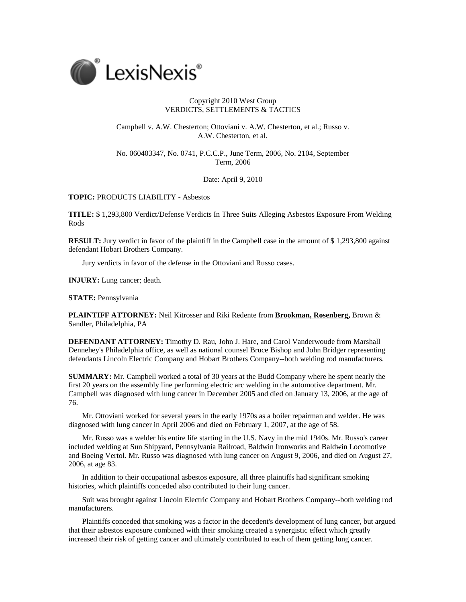

## Copyright 2010 West Group VERDICTS, SETTLEMENTS & TACTICS

Campbell v. A.W. Chesterton; Ottoviani v. A.W. Chesterton, et al.; Russo v. A.W. Chesterton, et al.

No. 060403347, No. 0741, P.C.C.P., June Term, 2006, No. 2104, September Term, 2006

Date: April 9, 2010

## **TOPIC:** PRODUCTS LIABILITY - Asbestos

**TITLE:** \$ 1,293,800 Verdict/Defense Verdicts In Three Suits Alleging Asbestos Exposure From Welding Rods

**RESULT:** Jury verdict in favor of the plaintiff in the Campbell case in the amount of \$1,293,800 against defendant Hobart Brothers Company.

Jury verdicts in favor of the defense in the Ottoviani and Russo cases.

**INJURY:** Lung cancer; death.

**STATE:** Pennsylvania

**PLAINTIFF ATTORNEY:** Neil Kitrosser and Riki Redente from **Brookman, Rosenberg,** Brown & Sandler, Philadelphia, PA

**DEFENDANT ATTORNEY:** Timothy D. Rau, John J. Hare, and Carol Vanderwoude from Marshall Dennehey's Philadelphia office, as well as national counsel Bruce Bishop and John Bridger representing defendants Lincoln Electric Company and Hobart Brothers Company--both welding rod manufacturers.

**SUMMARY:** Mr. Campbell worked a total of 30 years at the Budd Company where he spent nearly the first 20 years on the assembly line performing electric arc welding in the automotive department. Mr. Campbell was diagnosed with lung cancer in December 2005 and died on January 13, 2006, at the age of 76.

Mr. Ottoviani worked for several years in the early 1970s as a boiler repairman and welder. He was diagnosed with lung cancer in April 2006 and died on February 1, 2007, at the age of 58.

Mr. Russo was a welder his entire life starting in the U.S. Navy in the mid 1940s. Mr. Russo's career included welding at Sun Shipyard, Pennsylvania Railroad, Baldwin Ironworks and Baldwin Locomotive and Boeing Vertol. Mr. Russo was diagnosed with lung cancer on August 9, 2006, and died on August 27, 2006, at age 83.

In addition to their occupational asbestos exposure, all three plaintiffs had significant smoking histories, which plaintiffs conceded also contributed to their lung cancer.

Suit was brought against Lincoln Electric Company and Hobart Brothers Company--both welding rod manufacturers.

Plaintiffs conceded that smoking was a factor in the decedent's development of lung cancer, but argued that their asbestos exposure combined with their smoking created a synergistic effect which greatly increased their risk of getting cancer and ultimately contributed to each of them getting lung cancer.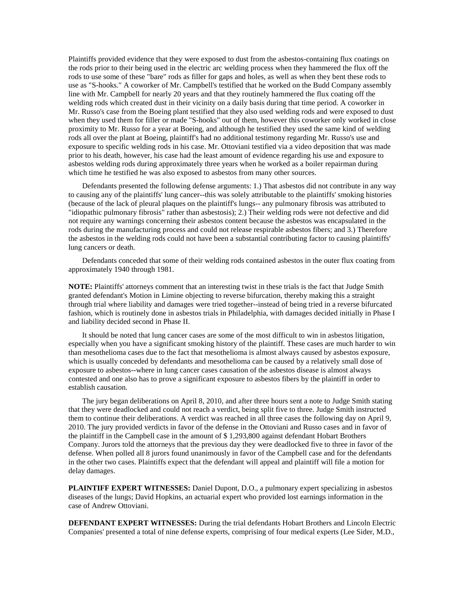Plaintiffs provided evidence that they were exposed to dust from the asbestos-containing flux coatings on the rods prior to their being used in the electric arc welding process when they hammered the flux off the rods to use some of these "bare" rods as filler for gaps and holes, as well as when they bent these rods to use as "S-hooks." A coworker of Mr. Campbell's testified that he worked on the Budd Company assembly line with Mr. Campbell for nearly 20 years and that they routinely hammered the flux coating off the welding rods which created dust in their vicinity on a daily basis during that time period. A coworker in Mr. Russo's case from the Boeing plant testified that they also used welding rods and were exposed to dust when they used them for filler or made "S-hooks" out of them, however this coworker only worked in close proximity to Mr. Russo for a year at Boeing, and although he testified they used the same kind of welding rods all over the plant at Boeing, plaintiff's had no additional testimony regarding Mr. Russo's use and exposure to specific welding rods in his case. Mr. Ottoviani testified via a video deposition that was made prior to his death, however, his case had the least amount of evidence regarding his use and exposure to asbestos welding rods during approximately three years when he worked as a boiler repairman during which time he testified he was also exposed to asbestos from many other sources.

Defendants presented the following defense arguments: 1.) That asbestos did not contribute in any way to causing any of the plaintiffs' lung cancer--this was solely attributable to the plaintiffs' smoking histories (because of the lack of pleural plaques on the plaintiff's lungs-- any pulmonary fibrosis was attributed to "idiopathic pulmonary fibrosis" rather than asbestosis); 2.) Their welding rods were not defective and did not require any warnings concerning their asbestos content because the asbestos was encapsulated in the rods during the manufacturing process and could not release respirable asbestos fibers; and 3.) Therefore the asbestos in the welding rods could not have been a substantial contributing factor to causing plaintiffs' lung cancers or death.

Defendants conceded that some of their welding rods contained asbestos in the outer flux coating from approximately 1940 through 1981.

**NOTE:** Plaintiffs' attorneys comment that an interesting twist in these trials is the fact that Judge Smith granted defendant's Motion in Limine objecting to reverse bifurcation, thereby making this a straight through trial where liability and damages were tried together--instead of being tried in a reverse bifurcated fashion, which is routinely done in asbestos trials in Philadelphia, with damages decided initially in Phase I and liability decided second in Phase II.

It should be noted that lung cancer cases are some of the most difficult to win in asbestos litigation, especially when you have a significant smoking history of the plaintiff. These cases are much harder to win than mesothelioma cases due to the fact that mesothelioma is almost always caused by asbestos exposure, which is usually conceded by defendants and mesothelioma can be caused by a relatively small dose of exposure to asbestos--where in lung cancer cases causation of the asbestos disease is almost always contested and one also has to prove a significant exposure to asbestos fibers by the plaintiff in order to establish causation.

The jury began deliberations on April 8, 2010, and after three hours sent a note to Judge Smith stating that they were deadlocked and could not reach a verdict, being split five to three. Judge Smith instructed them to continue their deliberations. A verdict was reached in all three cases the following day on April 9, 2010. The jury provided verdicts in favor of the defense in the Ottoviani and Russo cases and in favor of the plaintiff in the Campbell case in the amount of \$ 1,293,800 against defendant Hobart Brothers Company. Jurors told the attorneys that the previous day they were deadlocked five to three in favor of the defense. When polled all 8 jurors found unanimously in favor of the Campbell case and for the defendants in the other two cases. Plaintiffs expect that the defendant will appeal and plaintiff will file a motion for delay damages.

**PLAINTIFF EXPERT WITNESSES:** Daniel Dupont, D.O., a pulmonary expert specializing in asbestos diseases of the lungs; David Hopkins, an actuarial expert who provided lost earnings information in the case of Andrew Ottoviani.

**DEFENDANT EXPERT WITNESSES:** During the trial defendants Hobart Brothers and Lincoln Electric Companies' presented a total of nine defense experts, comprising of four medical experts (Lee Sider, M.D.,